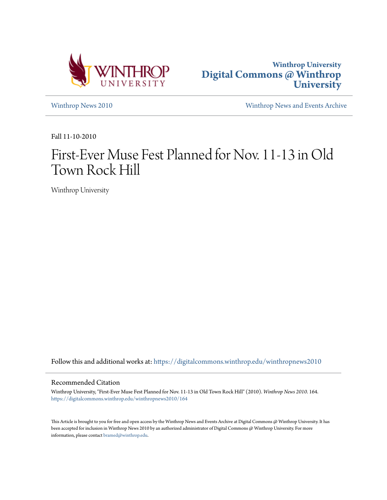



[Winthrop News 2010](https://digitalcommons.winthrop.edu/winthropnews2010?utm_source=digitalcommons.winthrop.edu%2Fwinthropnews2010%2F164&utm_medium=PDF&utm_campaign=PDFCoverPages) [Winthrop News and Events Archive](https://digitalcommons.winthrop.edu/winthropnewsarchives?utm_source=digitalcommons.winthrop.edu%2Fwinthropnews2010%2F164&utm_medium=PDF&utm_campaign=PDFCoverPages)

Fall 11-10-2010

# First-Ever Muse Fest Planned for Nov. 11-13 in Old Town Rock Hill

Winthrop University

Follow this and additional works at: [https://digitalcommons.winthrop.edu/winthropnews2010](https://digitalcommons.winthrop.edu/winthropnews2010?utm_source=digitalcommons.winthrop.edu%2Fwinthropnews2010%2F164&utm_medium=PDF&utm_campaign=PDFCoverPages)

### Recommended Citation

Winthrop University, "First-Ever Muse Fest Planned for Nov. 11-13 in Old Town Rock Hill" (2010). *Winthrop News 2010*. 164. [https://digitalcommons.winthrop.edu/winthropnews2010/164](https://digitalcommons.winthrop.edu/winthropnews2010/164?utm_source=digitalcommons.winthrop.edu%2Fwinthropnews2010%2F164&utm_medium=PDF&utm_campaign=PDFCoverPages)

This Article is brought to you for free and open access by the Winthrop News and Events Archive at Digital Commons @ Winthrop University. It has been accepted for inclusion in Winthrop News 2010 by an authorized administrator of Digital Commons @ Winthrop University. For more information, please contact [bramed@winthrop.edu](mailto:bramed@winthrop.edu).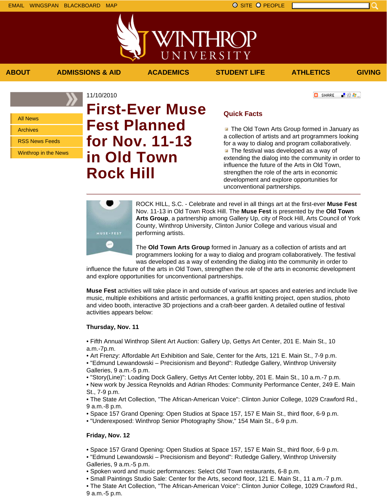■ 验母....]

**C** SHARE

All News

Archives

RSS News Feeds

Winthrop in the News

# 11/10/2010 **First-Ever Muse Fest Planned for Nov. 11-13 in Old Town Rock Hill**

## **Quick Facts**

**ABOUT ADMISSIONS & AID ACADEMICS STUDENT LIFE ATHLETICS GIVING**

VINTHRC

UNIVERSITY

**The Old Town Arts Group formed in January as** a collection of artists and art programmers looking for a way to dialog and program collaboratively.  $\blacksquare$  The festival was developed as a way of extending the dialog into the community in order to influence the future of the Arts in Old Town, strengthen the role of the arts in economic development and explore opportunities for unconventional partnerships.



ROCK HILL, S.C. - Celebrate and revel in all things art at the first-ever **Muse Fest** Nov. 11-13 in Old Town Rock Hill. The **Muse Fest** is presented by the **Old Town Arts Group**, a partnership among Gallery Up, city of Rock Hill, Arts Council of York County, Winthrop University, Clinton Junior College and various visual and performing artists.

The **Old Town Arts Group** formed in January as a collection of artists and art programmers looking for a way to dialog and program collaboratively. The festival was developed as a way of extending the dialog into the community in order to

influence the future of the arts in Old Town, strengthen the role of the arts in economic development and explore opportunities for unconventional partnerships.

**Muse Fest** activities will take place in and outside of various art spaces and eateries and include live music, multiple exhibitions and artistic performances, a graffiti knitting project, open studios, photo and video booth, interactive 3D projections and a craft-beer garden. A detailed outline of festival activities appears below:

#### **Thursday, Nov. 11**

• Fifth Annual Winthrop Silent Art Auction: Gallery Up, Gettys Art Center, 201 E. Main St., 10 a.m.-7p.m.

• Art Frenzy: Affordable Art Exhibition and Sale, Center for the Arts, 121 E. Main St., 7-9 p.m.

• "Edmund Lewandowski – Precisionism and Beyond": Rutledge Gallery, Winthrop University Galleries, 9 a.m.-5 p.m.

• "Story(Line)": Loading Dock Gallery, Gettys Art Center lobby, 201 E. Main St., 10 a.m.-7 p.m.

• New work by Jessica Reynolds and Adrian Rhodes: Community Performance Center, 249 E. Main St., 7-9 p.m.

• The State Art Collection, "The African-American Voice": Clinton Junior College, 1029 Crawford Rd., 9 a.m.-8 p.m.

• Space 157 Grand Opening: Open Studios at Space 157, 157 E Main St., third floor, 6-9 p.m.

• "Underexposed: Winthrop Senior Photography Show," 154 Main St., 6-9 p.m.

#### **Friday, Nov. 12**

• Space 157 Grand Opening: Open Studios at Space 157, 157 E Main St., third floor, 6-9 p.m. • "Edmund Lewandowski – Precisionism and Beyond": Rutledge Gallery, Winthrop University Galleries, 9 a.m.-5 p.m.

• Spoken word and music performances: Select Old Town restaurants, 6-8 p.m.

• Small Paintings Studio Sale: Center for the Arts, second floor, 121 E. Main St., 11 a.m.-7 p.m.

• The State Art Collection, "The African-American Voice": Clinton Junior College, 1029 Crawford Rd., 9 a.m.-5 p.m.